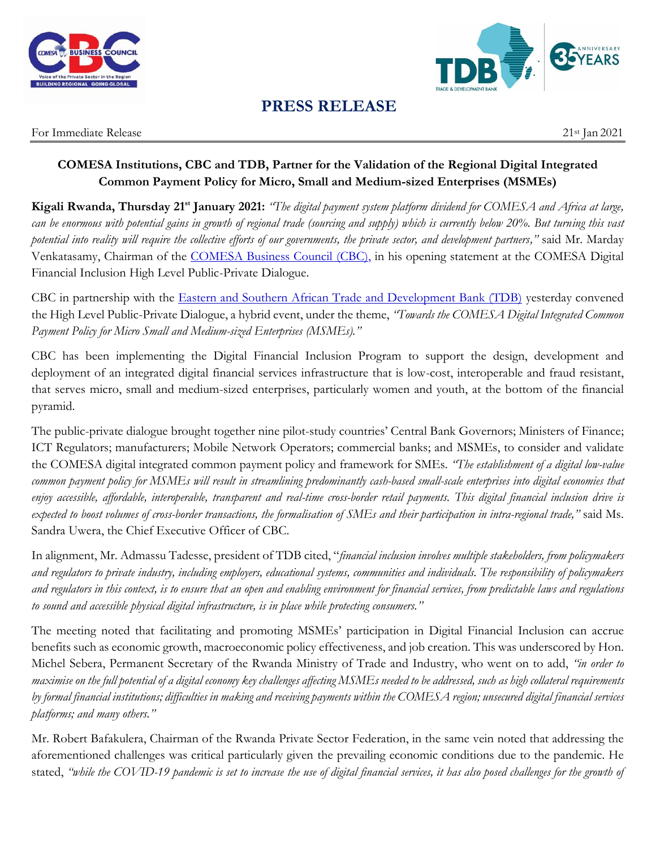



## **PRESS RELEASE**

For Immediate Release 21st Jan 2021

## **COMESA Institutions, CBC and TDB, Partner for the Validation of the Regional Digital Integrated Common Payment Policy for Micro, Small and Medium-sized Enterprises (MSMEs)**

Kigali Rwanda, Thursday 21<sup>st</sup> January 2021: "The digital payment system platform dividend for COMESA and Africa at large, *can be enormous with potential gains in growth of regional trade (sourcing and supply) which is currently below 20%. But turning this vast potential into reality will require the collective efforts of our governments, the private sector, and development partners,"* said Mr. Marday Venkatasamy, Chairman of the [COMESA Business Council](http://comesabusinesscouncil.org/) (CBC), in his opening statement at the COMESA Digital Financial Inclusion High Level Public-Private Dialogue.

CBC in partnership with the [Eastern and Southern African Trade and Development Bank \(TDB\)](https://www.tdbgroup.org/) yesterday convened the High Level Public-Private Dialogue, a hybrid event, under the theme, *"Towards the COMESA Digital Integrated Common Payment Policy for Micro Small and Medium-sized Enterprises (MSMEs)."*

CBC has been implementing the Digital Financial Inclusion Program to support the design, development and deployment of an integrated digital financial services infrastructure that is low-cost, interoperable and fraud resistant, that serves micro, small and medium-sized enterprises, particularly women and youth, at the bottom of the financial pyramid.

The public-private dialogue brought together nine pilot-study countries' Central Bank Governors; Ministers of Finance; ICT Regulators; manufacturers; Mobile Network Operators; commercial banks; and MSMEs, to consider and validate the COMESA digital integrated common payment policy and framework for SMEs. *"The establishment of a digital low-value common payment policy for MSMEs will result in streamlining predominantly cash-based small-scale enterprises into digital economies that enjoy accessible, affordable, interoperable, transparent and real-time cross-border retail payments. This digital financial inclusion drive is expected to boost volumes of cross-border transactions, the formalisation of SMEs and their participation in intra-regional trade,"* said Ms. Sandra Uwera, the Chief Executive Officer of CBC.

In alignment, Mr. Admassu Tadesse, president of TDB cited, "*financial inclusion involves multiple stakeholders, from policymakers and regulators to private industry, including employers, educational systems, communities and individuals. The responsibility of policymakers and regulators in this context, is to ensure that an open and enabling environment for financial services, from predictable laws and regulations to sound and accessible physical digital infrastructure, is in place while protecting consumers."*

The meeting noted that facilitating and promoting MSMEs' participation in Digital Financial Inclusion can accrue benefits such as economic growth, macroeconomic policy effectiveness, and job creation. This was underscored by Hon. Michel Sebera, Permanent Secretary of the Rwanda Ministry of Trade and Industry, who went on to add, *"in order to maximise on the full potential of a digital economy key challenges affecting MSMEs needed to be addressed, such as high collateral requirements by formal financial institutions; difficulties in making and receiving payments within the COMESA region; unsecured digital financial services platforms; and many others."*

Mr. Robert Bafakulera, Chairman of the Rwanda Private Sector Federation, in the same vein noted that addressing the aforementioned challenges was critical particularly given the prevailing economic conditions due to the pandemic. He stated, *"while the COVID-19 pandemic is set to increase the use of digital financial services, it has also posed challenges for the growth of*